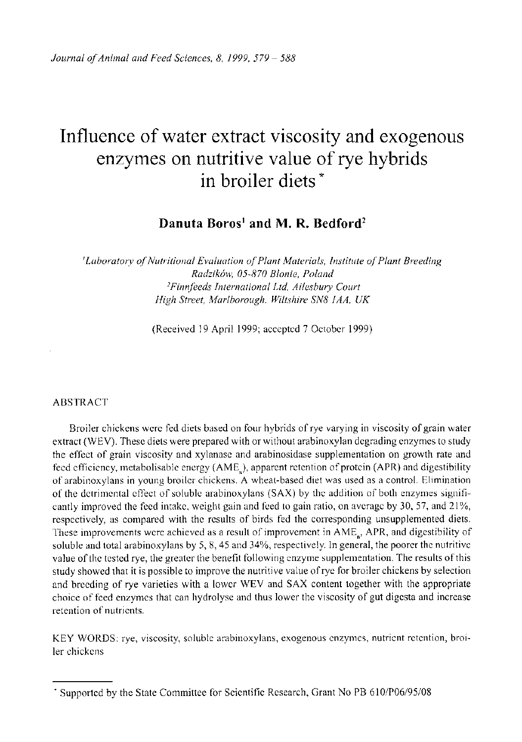# Influence of water extract viscosity and exogenous enzymes on nutritive value of rye hybrids in broiler diets \*

# **Danuta Boros1 and M. R. Bedford<sup>2</sup>**

*'Laboratory of Nutritional Evaluation of Plant Materials, Institute of Plant Breeding Radzikow, 05-870 Blonie, Poland <sup>2</sup>Finnfeeds International Ltd, Ailesbury Court High Street, Marlborough, Wiltshire SN8 1AA, UK* 

(Received 19 April 1999; accepted 7 October 1999)

#### ABSTRACT

Broiler chickens were fed diets based on four hybrids of rye varying in viscosity of grain water extract (WEV). These diets were prepared with or without arabinoxylan degrading enzymes to study the effect of grain viscosity and xylanase and arabinosidase supplementation on growth rate and feed efficiency, metabolisable energy (AME), apparent retention of protein (APR) and digestibility of arabinoxylans in young broiler chickens. A wheat-based diet was used as a control. Elimination of the detrimental effect of soluble arabinoxylans (SAX) by the addition of both enzymes significantly improved the feed intake, weight gain and feed to gain ratio, on average by 30, 57, and 21%, respectively, as compared with the results of birds fed the corresponding unsupplemented diets. These improvements were achieved as a result of improvement in AME<sub>n</sub>, APR, and digestibility of soluble and total arabinoxylans by 5, 8,45 and 34%, respectively. In general, the poorer the nutritive value of the tested rye, the greater the benefit following enzyme supplementation. The results of this study showed that it is possible to improve the nutritive value of rye for broiler chickens by selection and breeding of rye varieties with a lower WEV and SAX content together with the appropriate choice of feed enzymes that can hydrolyse and thus lower the viscosity of gut digesta and increase retention of nutrients.

KEY WORDS: rye, viscosity, soluble arabinoxylans, exogenous enzymes, nutrient retention, broiler chickens

<sup>\*</sup> Supported by the State Committee for Scientific Research, Grant No PB 610/P06/95/08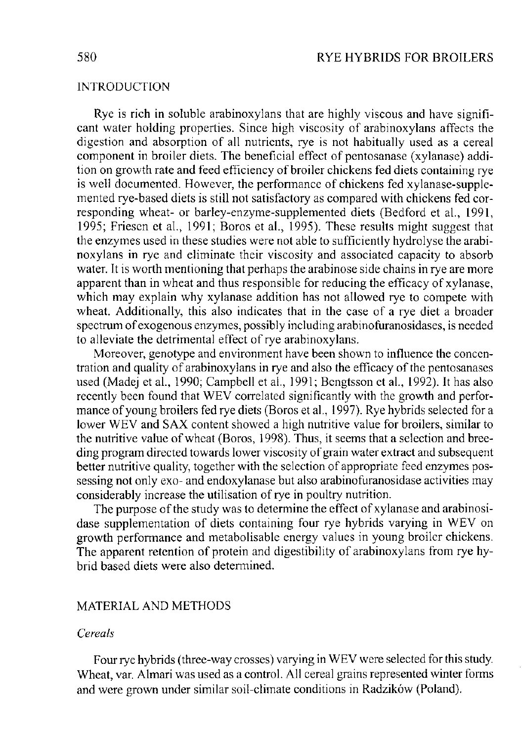# INTRODUCTION

Rye is rich in soluble arabinoxylans that are highly viscous and have significant water holding properties. Since high viscosity of arabinoxylans affects the digestion and absorption of all nutrients, rye is not habitually used as a cereal component in broiler diets. The beneficial effect of pentosanase (xylanase) addition on growth rate and feed efficiency of broiler chickens fed diets containing rye is well documented. However, the performance of chickens fed xylanase-supplemented rye-based diets is still not satisfactory as compared with chickens fed corresponding wheat- or barley-enzyme-supplemented diets (Bedford et al., 1991, 1995; Friesen et al, 1991; Boros et al., 1995). These results might suggest that the enzymes used in these studies were not able to sufficiently hydrolyse the arabinoxylans in rye and eliminate their viscosity and associated capacity to absorb water. It is worth mentioning that perhaps the arabinose side chains in rye are more apparent than in wheat and thus responsible for reducing the efficacy of xylanase, which may explain why xylanase addition has not allowed rye to compete with wheat. Additionally, this also indicates that in the case of a rye diet a broader spectrum of exogenous enzymes, possibly including arabinofuranosidases, is needed to alleviate the detrimental effect of rye arabinoxylans.

Moreover, genotype and environment have been shown to influence the concentration and quality of arabinoxylans in rye and also the efficacy of the pentosanases used (Madej et al., 1990; Campbell et al., 1991; Bengtsson et al., 1992). It has also recently been found that WEV correlated significantly with the growth and performance of young broilers fed rye diets (Boros et al., 1997). Rye hybrids selected for a lower WEV and SAX content showed a high nutritive value for broilers, similar to the nutritive value of wheat (Boros, 1998). Thus, it seems that a selection and breeding program directed towards lower viscosity of grain water extract and subsequent better nutritive quality, together with the selection of appropriate feed enzymes possessing not only exo- and endoxylanase but also arabinofuranosidase activities may considerably increase the utilisation of rye in poultry nutrition.

The purpose of the study was to determine the effect of xylanase and arabinosidase supplementation of diets containing four rye hybrids varying in WEV on growth performance and metabolisable energy values in young broiler chickens. The apparent retention of protein and digestibility of arabinoxylans from rye hybrid based diets were also determined.

# MATERIAL AND METHODS

# *Cereals*

Four rye hybrids (three-way crosses) varying in WEV were selected for this study. Wheat, var. Almari was used as a control. All cereal grains represented winter forms and were grown under similar soil-climate conditions in Radzikow (Poland).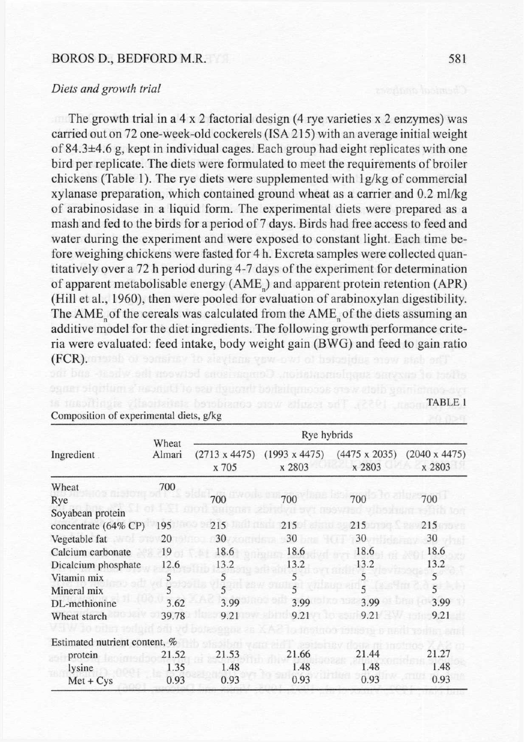## BOROS D., BEDFORD M.R. 581

#### *Diets and growth trial*

The growth trial in a  $4 \times 2$  factorial design (4 rye varieties  $x \times 2$  enzymes) was carried out on 72 one-week-old cockerels (ISA 215) with an average initial weight of 84.3±4.6 g, kept in individual cages. Each group had eight replicates with one bird per replicate. The diets were formulated to meet the requirements of broiler chickens (Table 1). The rye diets were supplemented with lg/kg of commercial xylanase preparation, which contained ground wheat as a carrier and 0.2 ml/kg of arabinosidase in a liquid form. The experimental diets were prepared as a mash and fed to the birds for a period of 7 days. Birds had free access to feed and water during the experiment and were exposed to constant light. Each time before weighing chickens were fasted for 4 h. Excreta samples were collected quantitatively over a 72 h period during 4-7 days of the experiment for determination of apparent metabolisable energy (AME) and apparent protein retention (APR) (Hill et al., 1960), then were pooled for evaluation of arabinoxylan digestibility. The AME of the cereals was calculated from the AME of the diets assuming an additive model for the diet ingredients. The following growth performance criteria were evaluated: feed intake, body weight gain (BWG) and feed to gain ratio (FCR). The were subjected to two way analysis of variance to determine the control.<br>The wise of encyclopediate the constrainer in the control of the control of the control.

| Ingredient                    | Wheat<br>Almari | Rye hybrids                   |                                |                                |                                |  |  |
|-------------------------------|-----------------|-------------------------------|--------------------------------|--------------------------------|--------------------------------|--|--|
|                               |                 | $(2713 \times 4475)$<br>x 705 | $(1993 \times 4475)$<br>x 2803 | $(4475 \times 2035)$<br>x 2803 | $(2040 \times 4475)$<br>x 2803 |  |  |
| Wheat                         | 700             |                               |                                |                                |                                |  |  |
| Rye                           |                 | 700                           | 700                            | 700                            | 700                            |  |  |
| Soyabean protein              |                 |                               |                                |                                |                                |  |  |
| concentrate (64% CP)          | 195             | 215                           | 215                            | 215                            | 215                            |  |  |
| Vegetable fat                 | 20              | 30                            | 30                             | 30                             | 30                             |  |  |
| Calcium carbonate             | 19              | 18.6                          | 18.6                           | 18.6                           | 18.6                           |  |  |
| Dicalcium phosphate           | 12.6            | 13.2                          | 13.2                           | 13.2                           | 13.2                           |  |  |
| Vitamin mix                   | C               | 5                             | 5                              | 5                              | 5                              |  |  |
| Mineral mix                   |                 | $\overline{5}$                | $\overline{5}$                 | 5                              | $\overline{5}$                 |  |  |
| DL-methionine                 | 3.62            | 3.99                          | 3.99                           | 3.99                           | 3.99                           |  |  |
| Wheat starch                  | 39.78           | 9.21                          | 9.21                           | 9.21                           | 9.21                           |  |  |
| Estimated nutrient content, % |                 |                               |                                |                                |                                |  |  |
| protein                       | 21.52           | 21.53                         | 21.66                          | 21.44                          | 21.27                          |  |  |
| lysine                        | 1.35            | 1.48                          | 1.48                           | 1.48                           | 1.48                           |  |  |
| $Met + Cys$                   | 0.93            | 0.93                          | 0.93                           | 0.93                           | 0.93                           |  |  |

is mealthink effectaints bendiance answ atlose nell (2201 mean TABLE I

#### Composition of experimental diets, g/kg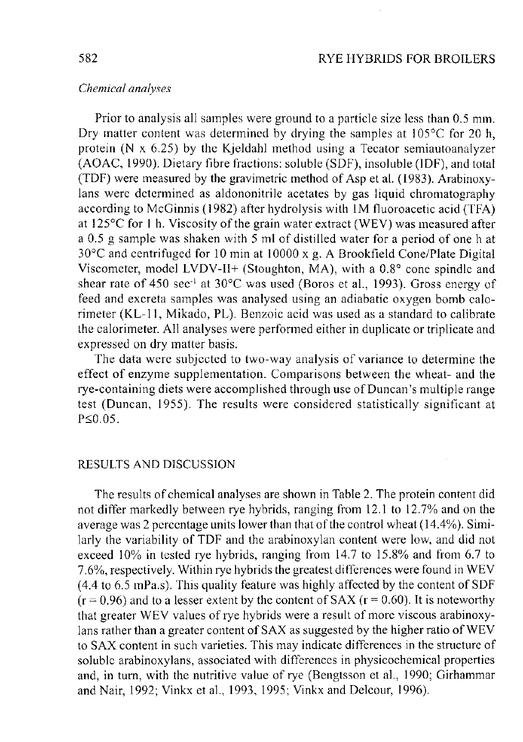# *Chemical analyses*

Prior to analysis all samples were ground to a particle size less than 0.5 mm. Dry matter content was determined by drying the samples at 105°C for 20 h, protein (N x 6.25) by the Kjeldahl method using a Tecator semiautoanalyzer (AOAC, 1990). Dietary fibre fractions: soluble (SDF), insoluble (IDF), and total (TDF) were measured by the gravimetric method of Asp et al. (1983). Arabinoxylans were determined as aldononitrile acetates by gas liquid chromatography according to McGinnis (1982) after hydrolysis with 1M fluoroacetic acid (TFA) at 125°C for 1 h. Viscosity of the grain water extract (WEV) was measured after a 0.5 g sample was shaken with 5 ml of distilled water for a period of one h at 30°C and centrifuged for 10 min at 10000 x g. A Brookfield Cone/Plate Digital Viscometer, model LVDV-II+ (Stoughton, MA), with a 0.8° cone spindle and shear rate of 450 sec<sup>1</sup> at 30°C was used (Boros et al., 1993). Gross energy of feed and excreta samples was analysed using an adiabatic oxygen bomb calorimeter (KL-11, Mikado, PL). Benzoic acid was used as a standard to calibrate the calorimeter. All analyses were performed either in duplicate or triplicate and expressed on dry matter basis.

The data were subjected to two-way analysis of variance to determine the effect of enzyme supplementation. Comparisons between the wheat- and the rye-containing diets were accomplished through use of Duncan's multiple range test (Duncan, 1955). The results were considered statistically significant at  $P \le 0.05$ .

## RESULTS AND DISCUSSION

The results of chemical analyses are shown in Table 2. The protein content did not differ markedly between rye hybrids, ranging from 12.1 to 12.7% and on the average was 2 percentage units lower than that of the control wheat (14.4%). Similarly the variability of TDF and the arabinoxylan content were low, and did not exceed 10% in tested rye hybrids, ranging from 14.7 to 15.8% and from 6.7 to 7.6%, respectively. Within rye hybrids the greatest differences were found in WEV (4.4 to 6.5 mPa.s). This quality feature was highly affected by the content of SDF  $(r = 0.96)$  and to a lesser extent by the content of SAX ( $r = 0.60$ ). It is noteworthy that greater WEV values of rye hybrids were a result of more viscous arabinoxylans rather than a greater content of SAX as suggested by the higher ratio of WEV to SAX content in such varieties. This may indicate differences in the structure of soluble arabinoxylans, associated with differences in physicochemical properties and, in turn, with the nutritive value of rye (Bengtsson et al., 1990; Girhammar and Nair, 1992; Vinkx et al., 1993, 1995; Vinkx and Delcour, 1996).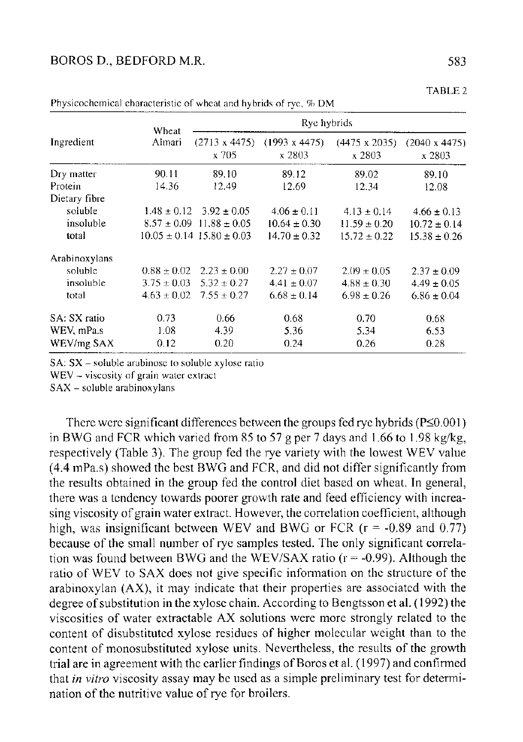| Ingredient    | Wheat           | Rye hybrids                       |                                |                                |                                |  |  |
|---------------|-----------------|-----------------------------------|--------------------------------|--------------------------------|--------------------------------|--|--|
|               | Almari          | $(2713 \times 4475)$<br>x 705     | $(1993 \times 4475)$<br>x 2803 | $(4475 \times 2035)$<br>x 2803 | $(2040 \times 4475)$<br>x 2803 |  |  |
| Dry matter    | 90.11           | 89.10                             | 89.12                          | 89.02                          | 89.10                          |  |  |
| Protein       | 14.36           | 12.49                             | 12.69                          | 12.34                          | 12.08                          |  |  |
| Dietary fibre |                 |                                   |                                |                                |                                |  |  |
| soluble       | $1.48 \pm 0.12$ | $3.92 \pm 0.05$                   | $4.06 \pm 0.11$                | $4.13 \pm 0.14$                | $4.66 \pm 0.13$                |  |  |
| insoluble     | $8.57 \pm 0.09$ | $11.88 + 0.05$                    | $10.64 \pm 0.30$               | $11.59 \pm 0.20$               | $10.72 \pm 0.14$               |  |  |
| total         |                 | $10.05 \pm 0.14$ 15.80 $\pm$ 0.03 | $14.70 \pm 0.32$               | $15.72 \pm 0.22$               | $15.38 \pm 0.26$               |  |  |
| Arabinoxylans |                 |                                   |                                |                                |                                |  |  |
| soluble       | $0.88 \pm 0.02$ | $2.23 \pm 0.00$                   | $2.27 \pm 0.07$                | $2.09 \pm 0.05$                | $2.37 \pm 0.09$                |  |  |
| insoluble     | $3.75 \pm 0.03$ | $5.32 \pm 0.27$                   | $4.41 \pm 0.07$                | $4.88 \pm 0.30$                | $4.49 \pm 0.05$                |  |  |
| total         | $4.63 \pm 0.02$ | $7.55 \pm 0.27$                   | $6.68 \pm 0.14$                | $6.98 \pm 0.26$                | $6.86 \pm 0.04$                |  |  |
| SA: SX ratio  | 0.73            | 0.66                              | 0.68                           | 0.70                           | 0.68                           |  |  |
| WEV, mPa.s    | 1.08            | 4.39                              | 5.36                           | 5.34                           | 6.53                           |  |  |
| WEV/mg SAX    | 0.12            | 0.20                              | 0.24                           | 0.26                           | 0.28                           |  |  |

Physicochemical characteristic of wheat and hybrids of rye, % DM

 $SA: SX - soluble arabinose to soluble xylose ratio$ 

WEV - viscosity of grain water extract

SAX - soluble arabinoxylans

There were significant differences between the groups fed rye hybrids ( $P \le 0.001$ ) in BWG and FCR which varied from 85 to 57 g per 7 days and 1.66 to 1.98 kg/kg, respectively (Table 3). The group fed the rye variety with the lowest WEV value (4.4 mPa.s) showed the best BWG and FCR, and did not differ significantly from the results obtained in the group fed the control diet based on wheat. In general, there was a tendency towards poorer growth rate and feed efficiency with increasing viscosity of grain water extract. However, the correlation coefficient, although high, was insignificant between WEV and BWG or FCR  $(r = -0.89$  and 0.77) because of the small number of rye samples tested. The only significant correlation was found between BWG and the WEV/SAX ratio ( $r = -0.99$ ). Although the ratio of WEV to SAX does not give specific information on the structure of the arabinoxylan (AX), it may indicate that their properties are associated with the degree of substitution in the xylose chain. According to Bengtsson et al. (1992) the viscosities of water extractable AX solutions were more strongly related to the content of disubstituted xylose residues of higher molecular weight than to the content of monosubstituted xylose units. Nevertheless, the results of the growth trial are in agreement with the earlier findings of Boros et al. (1997) and confirmed that *in vitro* viscosity assay may be used as a simple preliminary test for determination of the nutritive value of rye for broilers.

TABLE 2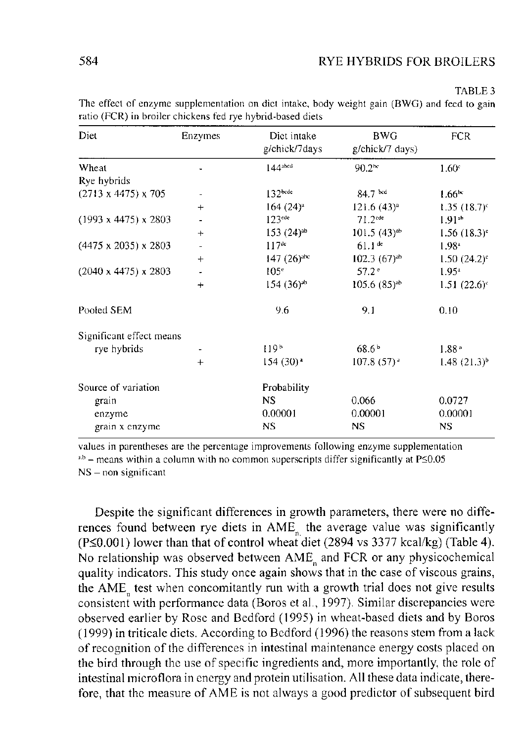Diet Enzymes Diet intake g/chick/7days BWG BWG FCR<br>g/chick/7 days) **Wheat 144abcd** 90.2bc 1.60<sup>c</sup> Rye hybrids  $(2713 \times 4475) \times 705$ **<sup>132</sup>bcde** 84.7 1.66\* **+** 164 (24)<sup>a</sup> 121.6 (43)<sup>a</sup> 1.35 (18.7)<sup>c</sup><br>122<sup>cle</sup> 1.32<sup>cle</sup> 1.01<sup>a</sup> 1.01<sup>a</sup>  $(1993 \times 4475) \times 2803$  -  $123^{cde}$  71.2<sup>cde</sup> 1.91<sup>ab</sup> 1.91<sup>ab</sup> 1.91<sup>ab</sup> 1.91<sup>ab</sup> 1.56 (18.3)<sup>c</sup> + 153 (24)<sup>ab</sup> 101.5 (43)<sup>ab</sup> 1.56 (18.3)<sup>c</sup><br>117<sup>de</sup> 61.1de 1.09<sub>a</sub>  $(4475 \times 2035) \times 2803$  -**<sup>117</sup>de** 61.1de 1.98<sup>a</sup> + 147 (26)<sup>abc</sup> 102.3 (67)<sup>ab</sup> 1.50 (24.2)<sup>c</sup> (2040 x 4475) x 2803 - 105e 1.95a<br>151 - 154 (363a) - 1556 (853ab 1.51 **+** 154 (36)<sup>ab</sup> 105.6 (85)<sup>ab</sup> 1.51 (22.6)<sup>c</sup> Pooled SEM 9.6 9.1 0.10 Significant effect means<br>rye hybrids rye hybrids - 119<sup>b</sup> 68.6<sup>b</sup> 1.88<sup>a</sup><br>1190 - 1148 1.88<sup>a</sup> 1.88a **+** 154 (30)<sup>a</sup> 107.8 (57)<sup>a</sup> 1.48 (21.3)<sup>o</sup> Source of variation Probability<br>
grain NS grain NS 0.066 0.0727 enzyme 0.00001 0.00001 0.00001 0.00001 grain x enzyme NS NS NS NS NS

The effect of enzyme supplementation on diet intake, body weight gain (BWG) and feed to gain ratio (FCR) in broiler chickens fed rye hybrid-based diets

values in parentheses are the percentage improvements following enzyme supplementation  $a$ ,b – means within a column with no common superscripts differ significantly at P $\leq$ 0.05 NS - non significant

Despite the significant differences in growth parameters, there were no differences found between rye diets in  $AME<sub>n</sub>$  the average value was significantly (P<0.001) lower than that of control wheat'diet (2894 vs 3377 kcal/kg) (Table 4). No relationship was observed between  $AME<sub>n</sub>$  and FCR or any physicochemical quality indicators. This study once again shows that in the case of viscous grains, the AME<sub>n</sub> test when concomitantly run with a growth trial does not give results consistent with performance data (Boros et al., 1997). Similar discrepancies were observed earlier by Rose and Bedford (1995) in wheat-based diets and by Boros (1999) in triticale diets. According to Bedford (1996) the reasons stem from a lack of recognition of the differences in intestinal maintenance energy costs placed on the bird through the use of specific ingredients and, more importantly, the role of intestinal microflora in energy and protein utilisation. All these data indicate, therefore, that the measure of AME is not always a good predictor of subsequent bird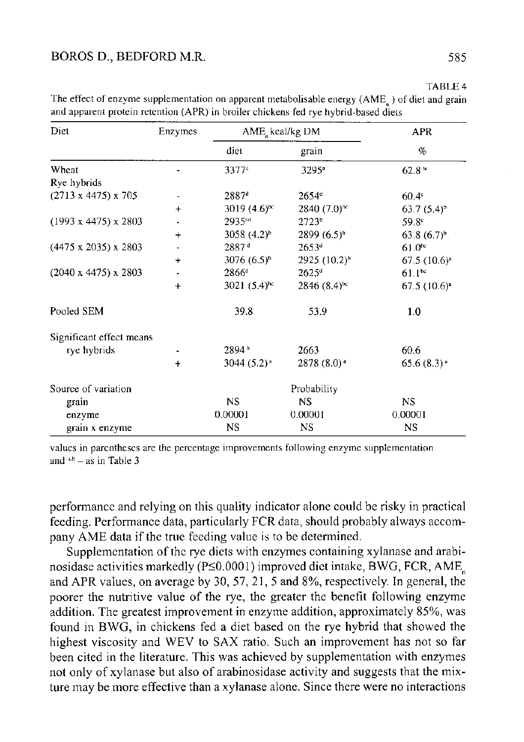| Diet                             | Enzymes   | AME, kcal/kg DM    | APR                       |                          |
|----------------------------------|-----------|--------------------|---------------------------|--------------------------|
|                                  |           | diet               | grain                     | $\%$                     |
| Wheat                            |           | $3377^3$           | 3295 <sup>a</sup>         | 62.8 <sup>bc</sup>       |
| Rye hybrids                      |           |                    |                           |                          |
| $(2713 \times 4475) \times 705$  |           | 2887 <sup>d</sup>  | $2654^d$                  | $60.4^\circ$             |
|                                  | $\ddot{}$ | 3019 $(4.6)^{bc}$  | $2840(7.0)$ <sup>1∞</sup> | $63.7(5.4)^{b}$          |
| $(1993 \times 4475) \times 2803$ |           | 2935 <sup>ed</sup> | 2723 <sup>b</sup>         | 59.8 <sup>c</sup>        |
|                                  | $\div$    | 3058 $(4.2)^{b}$   | $2899(6.5)^{b}$           | $63.8(6.7)^b$            |
| $(4475 \times 2035) \times 2803$ |           | 2887 <sup>d</sup>  | 2653 <sup>d</sup>         | 61.0 <sup>bc</sup>       |
|                                  | $\ddot{}$ | 3076 $(6.5)^{b}$   | $2925 (10.2)^{b}$         | $67.5(10.6)^a$           |
| $(2040 \times 4475) \times 2803$ |           | $2866^{\circ}$     | $2625^{\circ}$            | $61.1^{bc}$              |
|                                  | $\ddot{}$ | $3021 (5.4)^{hc}$  | $2846(8.4)$ <sup>bc</sup> | $67.5(10.6)^{a}$         |
| Pooled SEM                       |           | 39.8               | 53.9                      | 1.0                      |
| Significant effect means         |           |                    |                           |                          |
| rye hybrids                      |           | 2894 <sup>b</sup>  | 2663                      | 60.6                     |
|                                  | $\div$    | $3044(5.2)^*$      | $2878(8.0)$ <sup>a</sup>  | $65.6(8.3)$ <sup>*</sup> |
| Source of variation              |           |                    | Probability               |                          |
| grain                            |           | NS.                | NS                        | NS.                      |
| enzyme                           |           | 0.00001            | 0.00001                   | 0.00001                  |
| grain x enzyme                   |           | <b>NS</b>          | <b>NS</b>                 | NS.                      |

TABLE 4<br>The effect of enzyme supplementation on apparent metabolisable energy (AME<sub>n</sub>) of diet and grain and apparent protein retention (APR) in broiler chickens fed rye hybrid-based diets

values in parentheses are the percentage improvements following enzyme supplementation and  $a,b$  - as in Table 3

performance and relying on this quality indicator alone could be risky in practical feeding. Performance data, particularly FCR data, should probably always accompany AME data if the true feeding value is to be determined.

Supplementation of the rye diets with enzymes containing xylanase and arabinosidase activities markedly (P $\leq$ 0.0001) improved diet intake, BWG, FCR, AME<sub>n</sub> and APR values, on average by 30, 57, 21, 5 and 8%, respectively. In general, the poorer the nutritive value of the rye, the greater the benefit following enzyme addition. The greatest improvement in enzyme addition, approximately 85%, was found in BWG, in chickens fed a diet based on the rye hybrid that showed the highest viscosity and WEV to SAX ratio. Such an improvement has not so far been cited in the literature. This was achieved by supplementation with enzymes not only of xylanase but also of arabinosidase activity and suggests that the mixture may be more effective than a xylanase alone. Since there were no interactions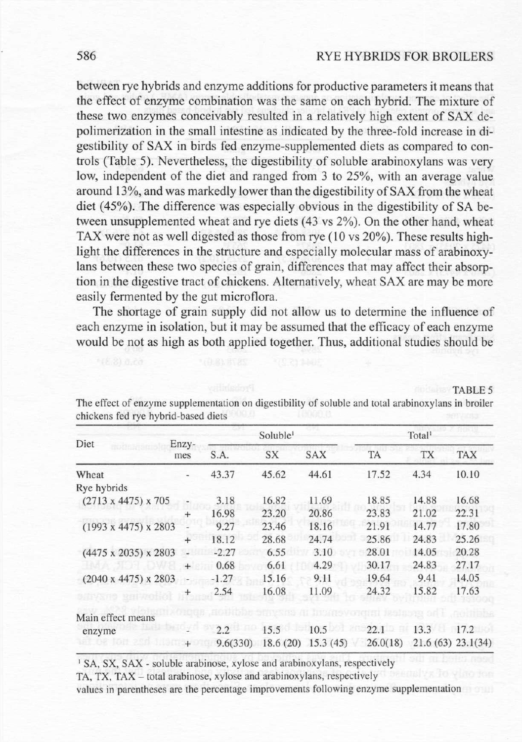## 586 RYE HYBRIDS FOR BROILERS

between rye hybrids and enzyme additions for productive parameters it means that the effect of enzyme combination was the same on each hybrid. The mixture of these two enzymes conceivably resulted in a relatively high extent of SAX depolimerization in the small intestine as indicated by the three-fold increase in digestibility of SAX in birds fed enzyme-supplemented diets as compared to controls (Table 5). Nevertheless, the digestibility of soluble arabinoxylans was very low, independent of the diet and ranged from 3 to 25%, with an average value around 13%, and was markedly lower than the digestibility of SAX from the wheat diet (45%). The difference was especially obvious in the digestibility of SA between unsupplemented wheat and rye diets (43 vs 2%). On the other hand, wheat TAX were not as well digested as those from rye  $(10 \text{ vs } 20\%)$ . These results highlight the differences in the structure and especially molecular mass of arabinoxylans between these two species of grain, differences that may affect their absorption in the digestive tract of chickens. Alternatively, wheat SAX are may be more easily fermented by the gut microflora.

The shortage of grain supply did not allow us to determine the influence of each enzyme in isolation, but it may be assumed that the efficacy of each enzyme would be not as high as both applied together. Thus, additional studies should be

| Diet                             | Enzy-<br>mes | Soluble <sup>1</sup> |       |                      | Total <sup>1</sup> |                   |            |
|----------------------------------|--------------|----------------------|-------|----------------------|--------------------|-------------------|------------|
|                                  |              | S.A.                 | SX    | <b>SAX</b>           | TA                 | <b>TX</b>         | <b>TAX</b> |
| Wheat                            |              | 43.37                | 45.62 | 44.61                | 17.52              | 4.34              | 10.10      |
| Rye hybrids                      |              |                      |       |                      |                    |                   |            |
| $(2713 \times 4475) \times 705$  |              | 3.18                 | 16.82 | 11.69                | 18.85              | 14.88             | 16.68      |
|                                  | $+$          | 16.98                | 23.20 | 20.86                | 23.83              | 21.02             | 22.31      |
| $(1993 \times 4475) \times 2803$ |              | 9.27                 | 23.46 | 18.16                | 21.91              | 14.77             | 17.80      |
|                                  | $^{+}$       | 18.12                | 28.68 | 24.74                | 25.86              | 24.83             | 25.26      |
| $(4475 \times 2035) \times 2803$ |              | $-2.27$              | 6.55  | 3.10                 | 28.01              | 14.05             | 20.28      |
|                                  | $+$          | 0.68                 | 6.61  | 4.29                 | 30.17              | 24.83             | 27.17      |
| $(2040 \times 4475) \times 2803$ |              | $-1.27$              | 15.16 | 9.11                 | 19.64              | 9.41              | 14.05      |
|                                  | $^+$         | 2.54                 | 16.08 | 11.09                | 24.32              | 15.82             | 17.63      |
| Main effect means                |              |                      |       |                      |                    |                   |            |
| enzyme                           |              | 2.2                  | 15.5  | 10.5                 | 22.1               | 13.3              | 17.2       |
|                                  | $^{+}$       | 9.6(330)             |       | $18.6(20)$ 15.3 (45) | 26.0(18)           | 21.6(63) 23.1(34) |            |

TABLE 5<br>The effect of enzyme supplementation on digestibility of soluble and total arabinoxylans in broiler chickens fed rye hybrid-based diets

<sup>1</sup> SA, SX, SAX - soluble arabinose, xylose and arabinoxylans, respectively

TA, TX, TAX - total arabinose, xylose and arabinoxylans, respectively

values in parentheses are the percentage improvements following enzyme supplementation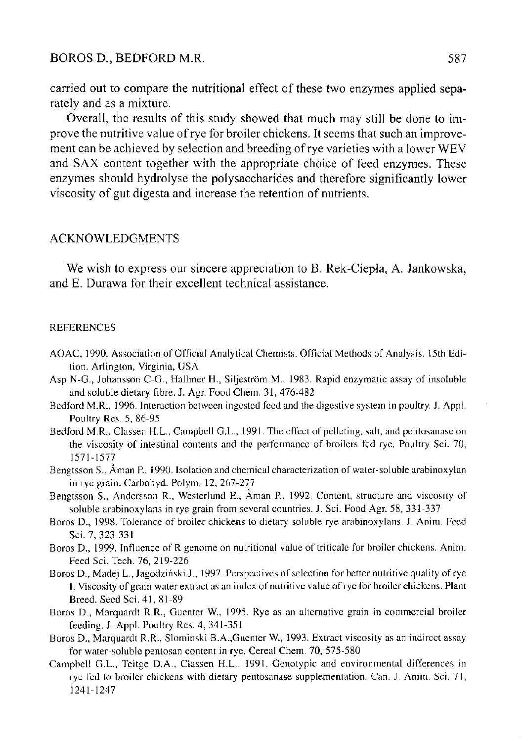## BOROS D., BEDFORD M.R. 587

carried out to compare the nutritional effect of these two enzymes applied separately and as a mixture.

Overall, the results of this study showed that much may still be done to improve the nutritive value of rye for broiler chickens. It seems that such an improvement can be achieved by selection and breeding of rye varieties with a lower WEV and SAX content together with the appropriate choice of feed enzymes. These enzymes should hydrolyse the polysaccharides and therefore significantly lower viscosity of gut digesta and increase the retention of nutrients.

#### ACKNOWLEDGMENTS

We wish to express our sincere appreciation to B. Rek-Ciepla, A. Jankowska, and E. Durawa for their excellent technical assistance.

#### **REFERENCES**

- AOAC, 1990. Association of Official Analytical Chemists. Official Methods of Analysis. 15th Edition. Arlington, Virginia, USA
- Asp N-G., Johansson C-G., Hallmer H., Siljestrom M., 1983. Rapid enzymatic assay of insoluble and soluble dietary fibre. J. Agr. Food Chem. 31, 476-482
- Bedford M.R., 1996. Interaction between ingested feed and the digestive system in poultry. J. Appl. Poultry Res. 5, 86-95
- Bedford M.R., Classen H.L., Campbell G.L., 1991. The effect of pelleting, salt, and pentosanase on the viscosity of intestinal contents and the performance of broilers fed rye. Poultry Sci. 70, 1571-1577
- Bengtsson S., Aman P., 1990. Isolation and chemical characterization of water-soluble arabinoxylan in rye grain. Carbohyd. Polym. 12, 267-277
- Bengtsson S., Andersson R., Westerlund E., Aman P., 1992. Content, structure and viscosity of soluble arabinoxylans in rye grain from several countries. J. Sci. Food Agr. 58, 331-337
- Boros D., 1998. Tolerance of broiler chickens to dietary soluble rye arabinoxylans. J. Anim. Feed Sci. 7, 323-331
- Boros D., 1999. Influence of R genome on nutritional value of triticale for broiler chickens. Anim. Feed Sci. Tech. 76, 219-226
- Boros D., Madej L., Jagodzihski J., 1997. Perspectives of selection for better nutritive quality of rye I. Viscosity of grain water extract as an index of nutritive value of rye for broiler chickens. Plant Breed. Seed Sci. 41, 81-89
- Boros D., Marquardt R.R., Guenter W., 1995. Rye as an alternative grain in commercial broiler feeding. J. Appl. Poultry Res. 4, 341-351
- Boros D., Marquardt R.R., Slominski B.A.,Guenter W., 1993. Extract viscosity as an indirect assay for water-soluble pentosan content in rye. Cereal Chem. 70, 575-580
- Campbell G.L., Teitge D.A., Classen H.L., 1991. Genotypic and environmental differences in rye fed to broiler chickens with dietary pentosanase supplementation. Can. J. Anim. Sci. 71, 1241-1247